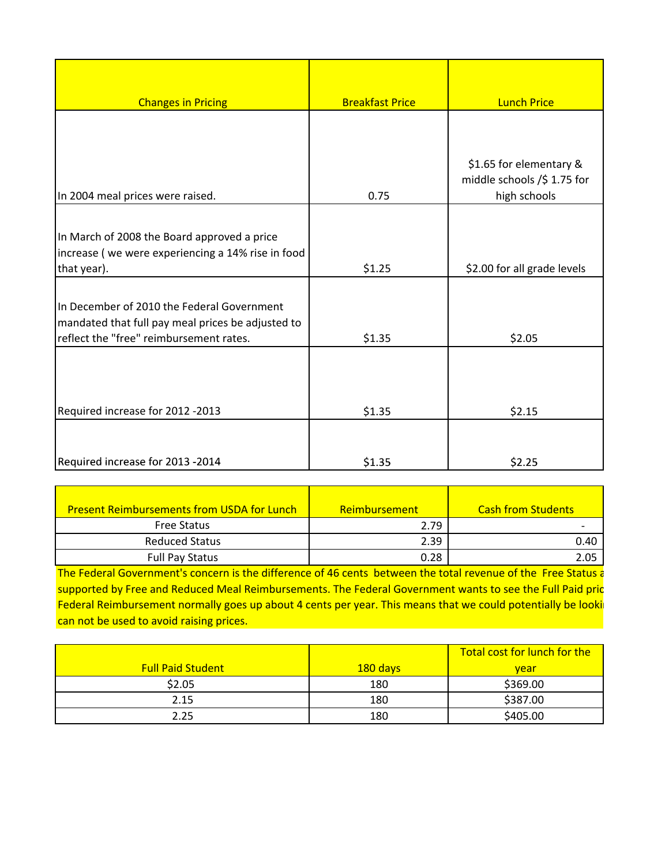| <b>Changes in Pricing</b>                         | <b>Breakfast Price</b> | <b>Lunch Price</b>                                     |
|---------------------------------------------------|------------------------|--------------------------------------------------------|
|                                                   |                        |                                                        |
|                                                   |                        |                                                        |
|                                                   |                        | \$1.65 for elementary &<br>middle schools /\$ 1.75 for |
| In 2004 meal prices were raised.                  | 0.75                   | high schools                                           |
|                                                   |                        |                                                        |
| In March of 2008 the Board approved a price       |                        |                                                        |
| increase (we were experiencing a 14% rise in food |                        |                                                        |
| that year).                                       | \$1.25                 | \$2.00 for all grade levels                            |
|                                                   |                        |                                                        |
| In December of 2010 the Federal Government        |                        |                                                        |
| mandated that full pay meal prices be adjusted to |                        |                                                        |
| reflect the "free" reimbursement rates.           | \$1.35                 | \$2.05                                                 |
|                                                   |                        |                                                        |
|                                                   |                        |                                                        |
| Required increase for 2012 -2013                  | \$1.35                 | \$2.15                                                 |
|                                                   |                        |                                                        |
| Required increase for 2013 -2014                  | \$1.35                 | \$2.25                                                 |

| Required increase for 2013 -2014                  | \$1.35        | \$2.25                    |
|---------------------------------------------------|---------------|---------------------------|
|                                                   |               |                           |
| <b>Present Reimbursements from USDA for Lunch</b> | Reimbursement | <b>Cash from Students</b> |
| <b>Free Status</b>                                | 2.79          |                           |
| <b>Reduced Status</b>                             | 2.39          | 0.40                      |
| <b>Full Pay Status</b>                            | 0.28          | 2.05                      |

Federal Reimbursement normally goes up about 4 cents per year. This means that we could potentially be looki The Federal Government's concern is the difference of 46 cents between the total revenue of the Free Status a supported by Free and Reduced Meal Reimbursements. The Federal Government wants to see the Full Paid pric can not be used to avoid raising prices.

|                          |          | Total cost for lunch for the |
|--------------------------|----------|------------------------------|
| <b>Full Paid Student</b> | 180 days | vear                         |
| \$2.05                   | 180      | \$369.00                     |
| 2.15                     | 180      | \$387.00                     |
| 2.25                     | 180      | \$405.00                     |